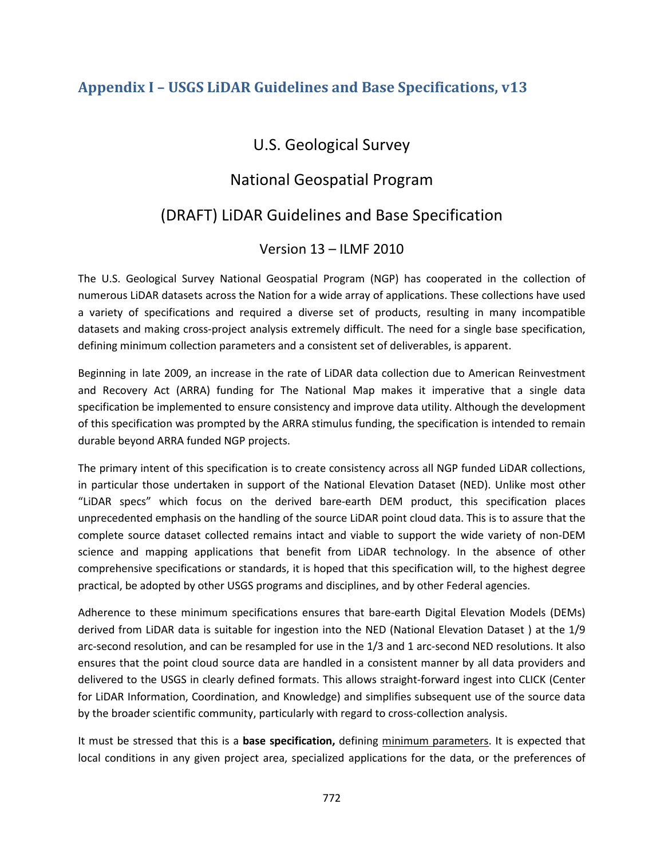## **Appendix I – USGS LiDAR Guidelines and Base Specifications, v13**

## U.S. Geological Survey

# National Geospatial Program

# (DRAFT) LiDAR Guidelines and Base Specification

## Version 13 – ILMF 2010

The U.S. Geological Survey National Geospatial Program (NGP) has cooperated in the collection of numerous LiDAR datasets across the Nation for a wide array of applications. These collections have used a variety of specifications and required a diverse set of products, resulting in many incompatible datasets and making cross-project analysis extremely difficult. The need for a single base specification, defining minimum collection parameters and a consistent set of deliverables, is apparent.

Beginning in late 2009, an increase in the rate of LiDAR data collection due to American Reinvestment and Recovery Act (ARRA) funding for The National Map makes it imperative that a single data specification be implemented to ensure consistency and improve data utility. Although the development of this specification was prompted by the ARRA stimulus funding, the specification is intended to remain durable beyond ARRA funded NGP projects.

The primary intent of this specification is to create consistency across all NGP funded LiDAR collections, in particular those undertaken in support of the National Elevation Dataset (NED). Unlike most other "LiDAR specs" which focus on the derived bare-earth DEM product, this specification places unprecedented emphasis on the handling of the source LiDAR point cloud data. This is to assure that the complete source dataset collected remains intact and viable to support the wide variety of non-DEM science and mapping applications that benefit from LiDAR technology. In the absence of other comprehensive specifications or standards, it is hoped that this specification will, to the highest degree practical, be adopted by other USGS programs and disciplines, and by other Federal agencies.

Adherence to these minimum specifications ensures that bare-earth Digital Elevation Models (DEMs) derived from LiDAR data is suitable for ingestion into the NED (National Elevation Dataset ) at the 1/9 arc-second resolution, and can be resampled for use in the 1/3 and 1 arc-second NED resolutions. It also ensures that the point cloud source data are handled in a consistent manner by all data providers and delivered to the USGS in clearly defined formats. This allows straight-forward ingest into CLICK (Center for LiDAR Information, Coordination, and Knowledge) and simplifies subsequent use of the source data by the broader scientific community, particularly with regard to cross-collection analysis.

It must be stressed that this is a **base specification,** defining minimum parameters. It is expected that local conditions in any given project area, specialized applications for the data, or the preferences of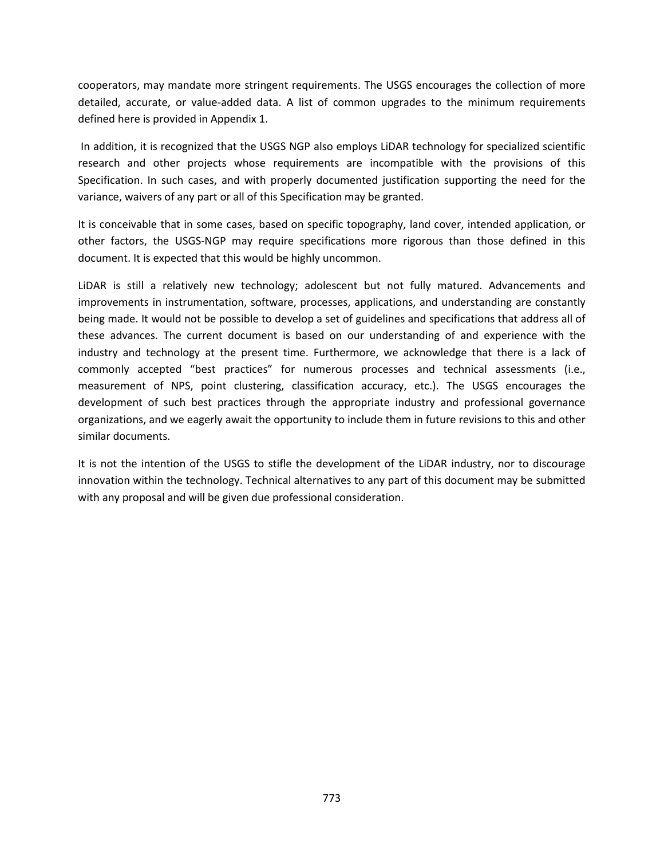cooperators, may mandate more stringent requirements. The USGS encourages the collection of more detailed, accurate, or value-added data. A list of common upgrades to the minimum requirements defined here is provided in Appendix 1.

In addition, it is recognized that the USGS NGP also employs LiDAR technology for specialized scientific research and other projects whose requirements are incompatible with the provisions of this Specification. In such cases, and with properly documented justification supporting the need for the variance, waivers of any part or all of this Specification may be granted.

It is conceivable that in some cases, based on specific topography, land cover, intended application, or other factors, the USGS-NGP may require specifications more rigorous than those defined in this document. It is expected that this would be highly uncommon.

LiDAR is still a relatively new technology; adolescent but not fully matured. Advancements and improvements in instrumentation, software, processes, applications, and understanding are constantly being made. It would not be possible to develop a set of guidelines and specifications that address all of these advances. The current document is based on our understanding of and experience with the industry and technology at the present time. Furthermore, we acknowledge that there is a lack of commonly accepted "best practices" for numerous processes and technical assessments (i.e., measurement of NPS, point clustering, classification accuracy, etc.). The USGS encourages the development of such best practices through the appropriate industry and professional governance organizations, and we eagerly await the opportunity to include them in future revisions to this and other similar documents.

It is not the intention of the USGS to stifle the development of the LiDAR industry, nor to discourage innovation within the technology. Technical alternatives to any part of this document may be submitted with any proposal and will be given due professional consideration.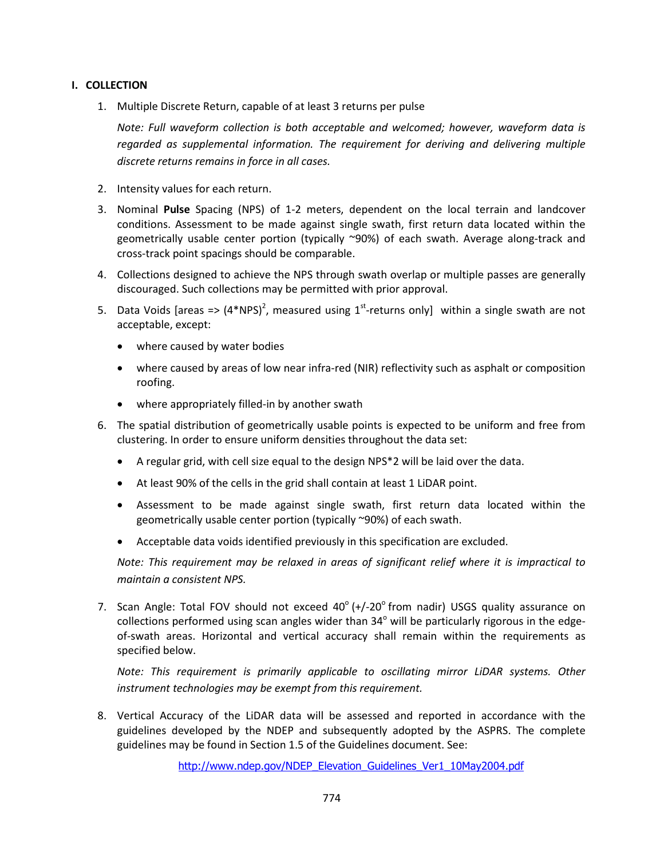## **I. COLLECTION**

1. Multiple Discrete Return, capable of at least 3 returns per pulse

*Note: Full waveform collection is both acceptable and welcomed; however, waveform data is regarded as supplemental information. The requirement for deriving and delivering multiple discrete returns remains in force in all cases.*

- 2. Intensity values for each return.
- 3. Nominal **Pulse** Spacing (NPS) of 1-2 meters, dependent on the local terrain and landcover conditions. Assessment to be made against single swath, first return data located within the geometrically usable center portion (typically ~90%) of each swath. Average along-track and cross-track point spacings should be comparable.
- 4. Collections designed to achieve the NPS through swath overlap or multiple passes are generally discouraged. Such collections may be permitted with prior approval.
- 5. Data Voids [areas =>  $(4*NPS)^2$ , measured using 1<sup>st</sup>-returns only] within a single swath are not acceptable, except:
	- where caused by water bodies
	- where caused by areas of low near infra-red (NIR) reflectivity such as asphalt or composition roofing.
	- where appropriately filled-in by another swath
- 6. The spatial distribution of geometrically usable points is expected to be uniform and free from clustering. In order to ensure uniform densities throughout the data set:
	- A regular grid, with cell size equal to the design NPS\*2 will be laid over the data.
	- At least 90% of the cells in the grid shall contain at least 1 LiDAR point.
	- Assessment to be made against single swath, first return data located within the geometrically usable center portion (typically ~90%) of each swath.
	- Acceptable data voids identified previously in this specification are excluded.

*Note: This requirement may be relaxed in areas of significant relief where it is impractical to maintain a consistent NPS.* 

7. Scan Angle: Total FOV should not exceed  $40^{\circ}$  (+/-20 $^{\circ}$  from nadir) USGS quality assurance on collections performed using scan angles wider than  $34^{\circ}$  will be particularly rigorous in the edgeof-swath areas. Horizontal and vertical accuracy shall remain within the requirements as specified below.

*Note: This requirement is primarily applicable to oscillating mirror LiDAR systems. Other instrument technologies may be exempt from this requirement.* 

8. Vertical Accuracy of the LiDAR data will be assessed and reported in accordance with the guidelines developed by the NDEP and subsequently adopted by the ASPRS. The complete guidelines may be found in Section 1.5 of the Guidelines document. See:

[http://www.ndep.gov/NDEP\\_Elevation\\_Guidelines\\_Ver1\\_10May2004.pdf](http://www.ndep.gov/NDEP_Elevation_Guidelines_Ver1_10May2004.pdf)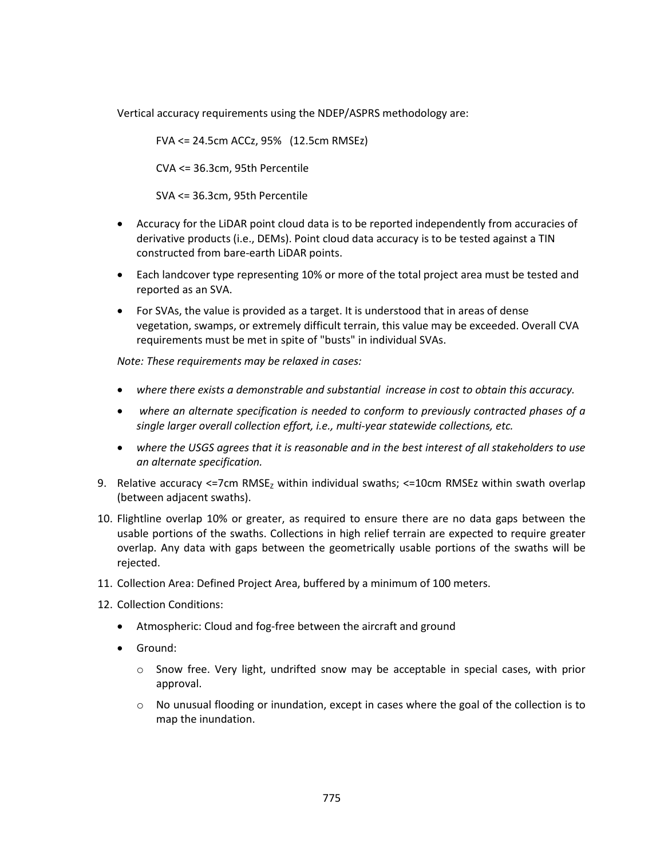Vertical accuracy requirements using the NDEP/ASPRS methodology are:

FVA <= 24.5cm ACCz, 95% (12.5cm RMSEz)

CVA <= 36.3cm, 95th Percentile

SVA <= 36.3cm, 95th Percentile

- Accuracy for the LiDAR point cloud data is to be reported independently from accuracies of derivative products (i.e., DEMs). Point cloud data accuracy is to be tested against a TIN constructed from bare-earth LiDAR points.
- Each landcover type representing 10% or more of the total project area must be tested and reported as an SVA.
- For SVAs, the value is provided as a target. It is understood that in areas of dense vegetation, swamps, or extremely difficult terrain, this value may be exceeded. Overall CVA requirements must be met in spite of "busts" in individual SVAs.

*Note: These requirements may be relaxed in cases:*

- *where there exists a demonstrable and substantial increase in cost to obtain this accuracy.*
- *where an alternate specification is needed to conform to previously contracted phases of a single larger overall collection effort, i.e., multi-year statewide collections, etc.*
- *where the USGS agrees that it is reasonable and in the best interest of all stakeholders to use an alternate specification.*
- 9. Relative accuracy <=7cm  $RMSE<sub>z</sub>$  within individual swaths; <=10cm RMSEz within swath overlap (between adjacent swaths).
- 10. Flightline overlap 10% or greater, as required to ensure there are no data gaps between the usable portions of the swaths. Collections in high relief terrain are expected to require greater overlap. Any data with gaps between the geometrically usable portions of the swaths will be rejected.
- 11. Collection Area: Defined Project Area, buffered by a minimum of 100 meters.
- 12. Collection Conditions:
	- Atmospheric: Cloud and fog-free between the aircraft and ground
	- Ground:
		- o Snow free. Very light, undrifted snow may be acceptable in special cases, with prior approval.
		- $\circ$  No unusual flooding or inundation, except in cases where the goal of the collection is to map the inundation.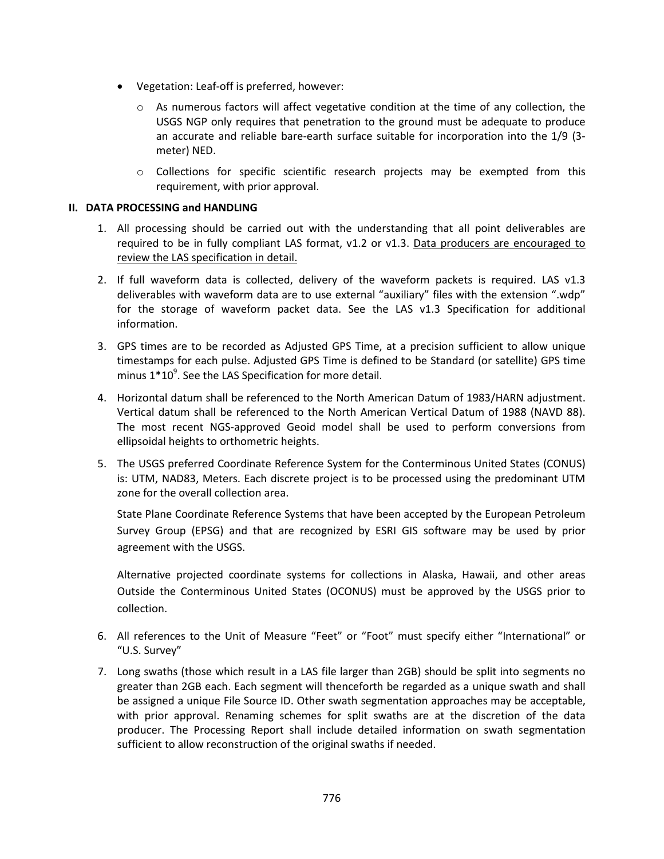- Vegetation: Leaf-off is preferred, however:
	- $\circ$  As numerous factors will affect vegetative condition at the time of any collection, the USGS NGP only requires that penetration to the ground must be adequate to produce an accurate and reliable bare-earth surface suitable for incorporation into the 1/9 (3 meter) NED.
	- o Collections for specific scientific research projects may be exempted from this requirement, with prior approval.

### **II. DATA PROCESSING and HANDLING**

- 1. All processing should be carried out with the understanding that all point deliverables are required to be in fully compliant LAS format,  $v1.2$  or  $v1.3$ . Data producers are encouraged to review the LAS specification in detail.
- 2. If full waveform data is collected, delivery of the waveform packets is required. LAS v1.3 deliverables with waveform data are to use external "auxiliary" files with the extension ".wdp" for the storage of waveform packet data. See the LAS v1.3 Specification for additional information.
- 3. GPS times are to be recorded as Adjusted GPS Time, at a precision sufficient to allow unique timestamps for each pulse. Adjusted GPS Time is defined to be Standard (or satellite) GPS time minus  $1*10<sup>9</sup>$ . See the LAS Specification for more detail.
- 4. Horizontal datum shall be referenced to the North American Datum of 1983/HARN adjustment. Vertical datum shall be referenced to the North American Vertical Datum of 1988 (NAVD 88). The most recent NGS-approved Geoid model shall be used to perform conversions from ellipsoidal heights to orthometric heights.
- 5. The USGS preferred Coordinate Reference System for the Conterminous United States (CONUS) is: UTM, NAD83, Meters. Each discrete project is to be processed using the predominant UTM zone for the overall collection area.

State Plane Coordinate Reference Systems that have been accepted by the European Petroleum Survey Group (EPSG) and that are recognized by ESRI GIS software may be used by prior agreement with the USGS.

Alternative projected coordinate systems for collections in Alaska, Hawaii, and other areas Outside the Conterminous United States (OCONUS) must be approved by the USGS prior to collection.

- 6. All references to the Unit of Measure "Feet" or "Foot" must specify either "International" or "U.S. Survey"
- 7. Long swaths (those which result in a LAS file larger than 2GB) should be split into segments no greater than 2GB each. Each segment will thenceforth be regarded as a unique swath and shall be assigned a unique File Source ID. Other swath segmentation approaches may be acceptable, with prior approval. Renaming schemes for split swaths are at the discretion of the data producer. The Processing Report shall include detailed information on swath segmentation sufficient to allow reconstruction of the original swaths if needed.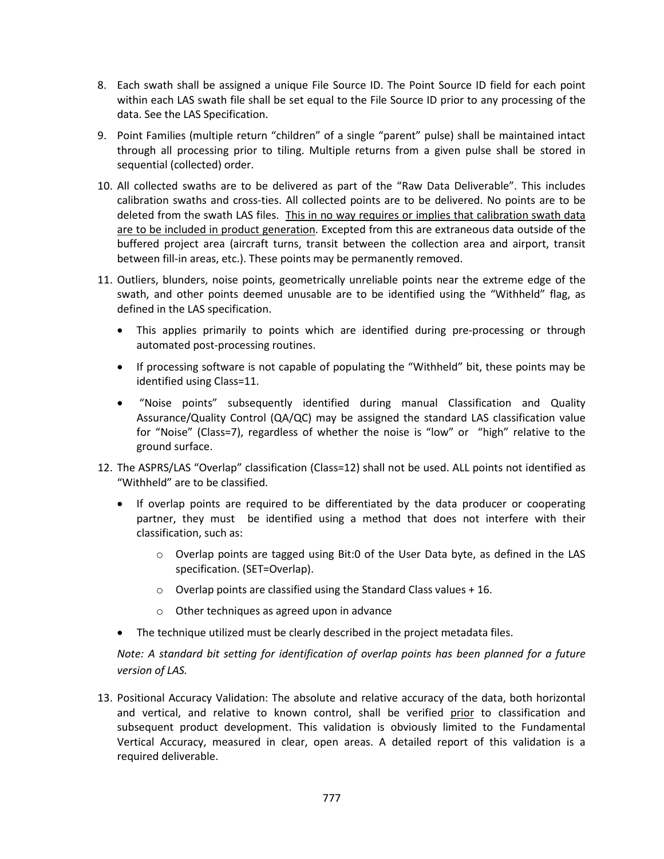- 8. Each swath shall be assigned a unique File Source ID. The Point Source ID field for each point within each LAS swath file shall be set equal to the File Source ID prior to any processing of the data. See the LAS Specification.
- 9. Point Families (multiple return "children" of a single "parent" pulse) shall be maintained intact through all processing prior to tiling. Multiple returns from a given pulse shall be stored in sequential (collected) order.
- 10. All collected swaths are to be delivered as part of the "Raw Data Deliverable". This includes calibration swaths and cross-ties. All collected points are to be delivered. No points are to be deleted from the swath LAS files. This in no way requires or implies that calibration swath data are to be included in product generation. Excepted from this are extraneous data outside of the buffered project area (aircraft turns, transit between the collection area and airport, transit between fill-in areas, etc.). These points may be permanently removed.
- 11. Outliers, blunders, noise points, geometrically unreliable points near the extreme edge of the swath, and other points deemed unusable are to be identified using the "Withheld" flag, as defined in the LAS specification.
	- This applies primarily to points which are identified during pre-processing or through automated post-processing routines.
	- If processing software is not capable of populating the "Withheld" bit, these points may be identified using Class=11.
	- "Noise points" subsequently identified during manual Classification and Quality Assurance/Quality Control (QA/QC) may be assigned the standard LAS classification value for "Noise" (Class=7), regardless of whether the noise is "low" or "high" relative to the ground surface.
- 12. The ASPRS/LAS "Overlap" classification (Class=12) shall not be used. ALL points not identified as "Withheld" are to be classified.
	- If overlap points are required to be differentiated by the data producer or cooperating partner, they must be identified using a method that does not interfere with their classification, such as:
		- $\circ$  Overlap points are tagged using Bit:0 of the User Data byte, as defined in the LAS specification. (SET=Overlap).
		- $\circ$  Overlap points are classified using the Standard Class values + 16.
		- o Other techniques as agreed upon in advance
	- The technique utilized must be clearly described in the project metadata files.

*Note: A standard bit setting for identification of overlap points has been planned for a future version of LAS.* 

13. Positional Accuracy Validation: The absolute and relative accuracy of the data, both horizontal and vertical, and relative to known control, shall be verified prior to classification and subsequent product development. This validation is obviously limited to the Fundamental Vertical Accuracy, measured in clear, open areas. A detailed report of this validation is a required deliverable.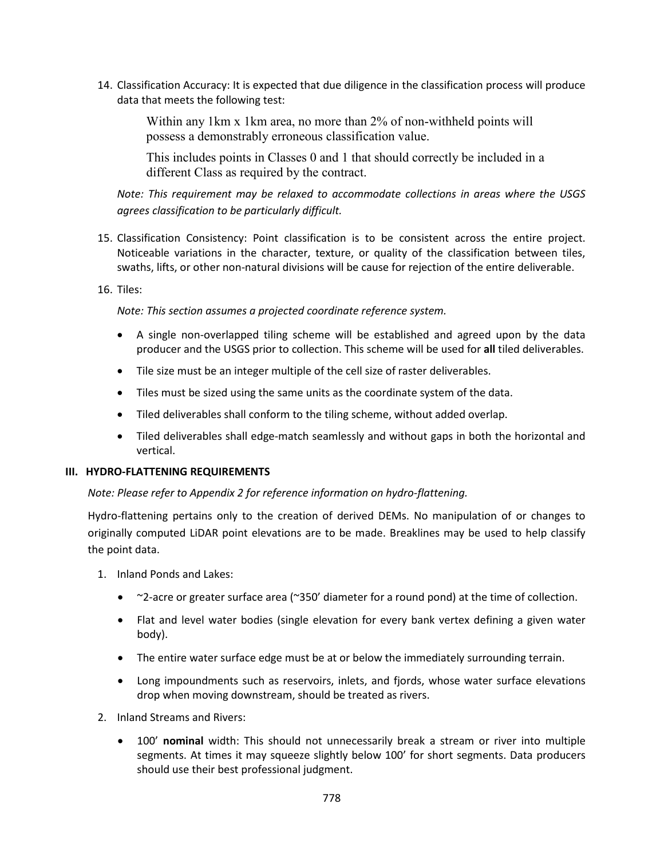14. Classification Accuracy: It is expected that due diligence in the classification process will produce data that meets the following test:

Within any 1km x 1km area, no more than 2% of non-withheld points will possess a demonstrably erroneous classification value.

This includes points in Classes 0 and 1 that should correctly be included in a different Class as required by the contract.

*Note: This requirement may be relaxed to accommodate collections in areas where the USGS agrees classification to be particularly difficult.*

- 15. Classification Consistency: Point classification is to be consistent across the entire project. Noticeable variations in the character, texture, or quality of the classification between tiles, swaths, lifts, or other non-natural divisions will be cause for rejection of the entire deliverable.
- 16. Tiles:

*Note: This section assumes a projected coordinate reference system.*

- A single non-overlapped tiling scheme will be established and agreed upon by the data producer and the USGS prior to collection. This scheme will be used for **all** tiled deliverables.
- Tile size must be an integer multiple of the cell size of raster deliverables.
- Tiles must be sized using the same units as the coordinate system of the data.
- Tiled deliverables shall conform to the tiling scheme, without added overlap.
- Tiled deliverables shall edge-match seamlessly and without gaps in both the horizontal and vertical.

### **III. HYDRO-FLATTENING REQUIREMENTS**

*Note: Please refer to Appendix 2 for reference information on hydro-flattening.*

Hydro-flattening pertains only to the creation of derived DEMs. No manipulation of or changes to originally computed LiDAR point elevations are to be made. Breaklines may be used to help classify the point data.

- 1. Inland Ponds and Lakes:
	- ~2-acre or greater surface area (~350' diameter for a round pond) at the time of collection.
	- Flat and level water bodies (single elevation for every bank vertex defining a given water body).
	- The entire water surface edge must be at or below the immediately surrounding terrain.
	- Long impoundments such as reservoirs, inlets, and fjords, whose water surface elevations drop when moving downstream, should be treated as rivers.
- 2. Inland Streams and Rivers:
	- 100' **nominal** width: This should not unnecessarily break a stream or river into multiple segments. At times it may squeeze slightly below 100' for short segments. Data producers should use their best professional judgment.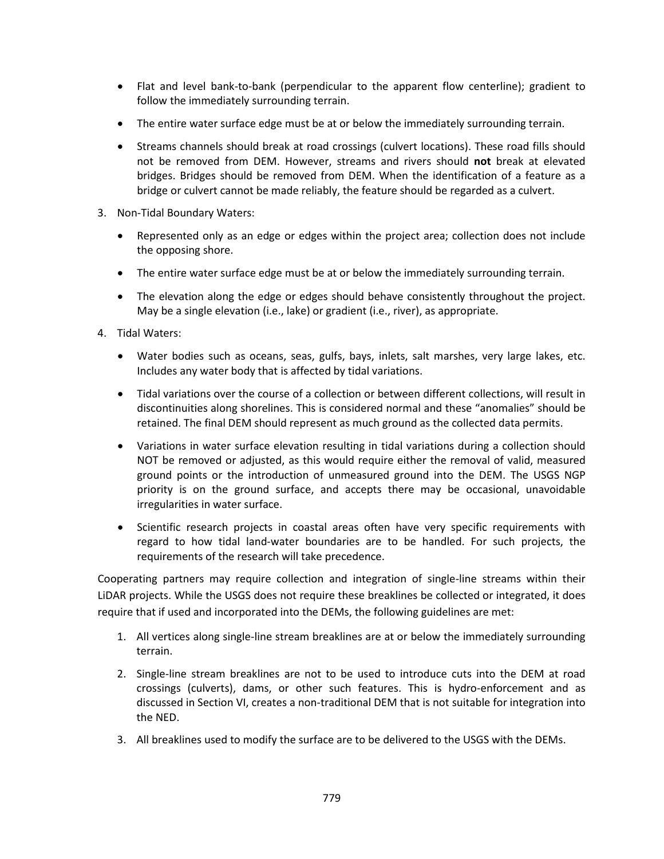- Flat and level bank-to-bank (perpendicular to the apparent flow centerline); gradient to follow the immediately surrounding terrain.
- The entire water surface edge must be at or below the immediately surrounding terrain.
- Streams channels should break at road crossings (culvert locations). These road fills should not be removed from DEM. However, streams and rivers should **not** break at elevated bridges. Bridges should be removed from DEM. When the identification of a feature as a bridge or culvert cannot be made reliably, the feature should be regarded as a culvert.
- 3. Non-Tidal Boundary Waters:
	- Represented only as an edge or edges within the project area; collection does not include the opposing shore.
	- The entire water surface edge must be at or below the immediately surrounding terrain.
	- The elevation along the edge or edges should behave consistently throughout the project. May be a single elevation (i.e., lake) or gradient (i.e., river), as appropriate.
- 4. Tidal Waters:
	- Water bodies such as oceans, seas, gulfs, bays, inlets, salt marshes, very large lakes, etc. Includes any water body that is affected by tidal variations.
	- Tidal variations over the course of a collection or between different collections, will result in discontinuities along shorelines. This is considered normal and these "anomalies" should be retained. The final DEM should represent as much ground as the collected data permits.
	- Variations in water surface elevation resulting in tidal variations during a collection should NOT be removed or adjusted, as this would require either the removal of valid, measured ground points or the introduction of unmeasured ground into the DEM. The USGS NGP priority is on the ground surface, and accepts there may be occasional, unavoidable irregularities in water surface.
	- Scientific research projects in coastal areas often have very specific requirements with regard to how tidal land-water boundaries are to be handled. For such projects, the requirements of the research will take precedence.

Cooperating partners may require collection and integration of single-line streams within their LiDAR projects. While the USGS does not require these breaklines be collected or integrated, it does require that if used and incorporated into the DEMs, the following guidelines are met:

- 1. All vertices along single-line stream breaklines are at or below the immediately surrounding terrain.
- 2. Single-line stream breaklines are not to be used to introduce cuts into the DEM at road crossings (culverts), dams, or other such features. This is hydro-enforcement and as discussed in Section VI, creates a non-traditional DEM that is not suitable for integration into the NED.
- 3. All breaklines used to modify the surface are to be delivered to the USGS with the DEMs.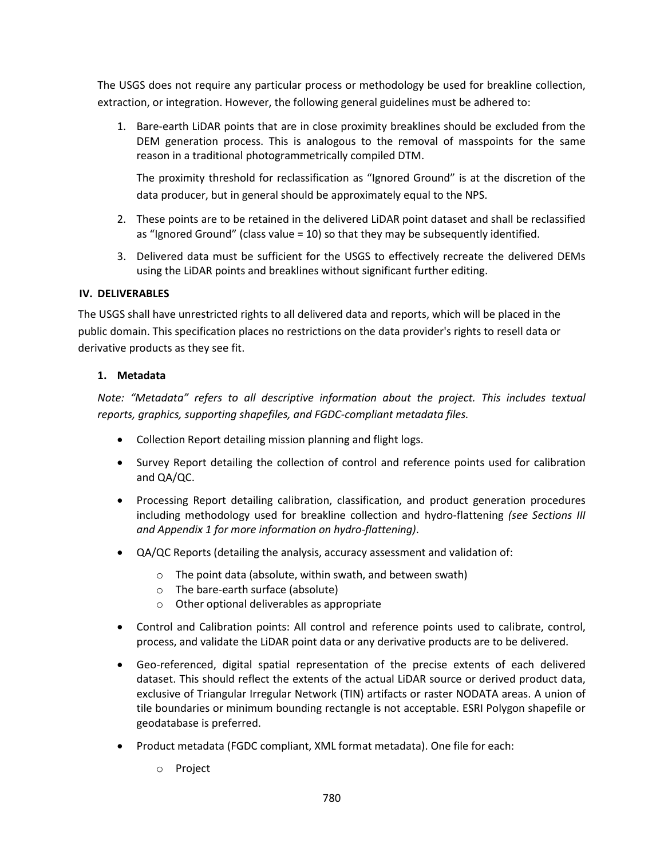The USGS does not require any particular process or methodology be used for breakline collection, extraction, or integration. However, the following general guidelines must be adhered to:

1. Bare-earth LiDAR points that are in close proximity breaklines should be excluded from the DEM generation process. This is analogous to the removal of masspoints for the same reason in a traditional photogrammetrically compiled DTM.

The proximity threshold for reclassification as "Ignored Ground" is at the discretion of the data producer, but in general should be approximately equal to the NPS.

- 2. These points are to be retained in the delivered LiDAR point dataset and shall be reclassified as "Ignored Ground" (class value = 10) so that they may be subsequently identified.
- 3. Delivered data must be sufficient for the USGS to effectively recreate the delivered DEMs using the LiDAR points and breaklines without significant further editing.

## **IV. DELIVERABLES**

The USGS shall have unrestricted rights to all delivered data and reports, which will be placed in the public domain. This specification places no restrictions on the data provider's rights to resell data or derivative products as they see fit.

## **1. Metadata**

*Note: "Metadata" refers to all descriptive information about the project. This includes textual reports, graphics, supporting shapefiles, and FGDC-compliant metadata files.*

- Collection Report detailing mission planning and flight logs.
- Survey Report detailing the collection of control and reference points used for calibration and QA/QC.
- Processing Report detailing calibration, classification, and product generation procedures including methodology used for breakline collection and hydro-flattening *(see Sections III and Appendix 1 for more information on hydro-flattening)*.
- QA/QC Reports (detailing the analysis, accuracy assessment and validation of:
	- o The point data (absolute, within swath, and between swath)
	- o The bare-earth surface (absolute)
	- o Other optional deliverables as appropriate
- Control and Calibration points: All control and reference points used to calibrate, control, process, and validate the LiDAR point data or any derivative products are to be delivered.
- Geo-referenced, digital spatial representation of the precise extents of each delivered dataset. This should reflect the extents of the actual LiDAR source or derived product data, exclusive of Triangular Irregular Network (TIN) artifacts or raster NODATA areas. A union of tile boundaries or minimum bounding rectangle is not acceptable. ESRI Polygon shapefile or geodatabase is preferred.
- Product metadata (FGDC compliant, XML format metadata). One file for each:
	- o Project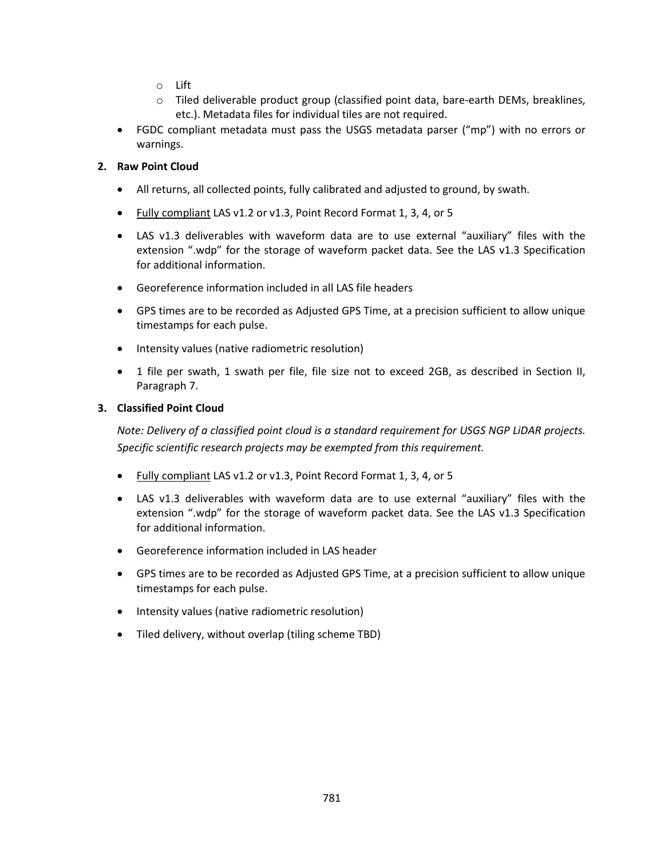- o Lift
- o Tiled deliverable product group (classified point data, bare-earth DEMs, breaklines, etc.). Metadata files for individual tiles are not required.
- FGDC compliant metadata must pass the USGS metadata parser ("mp") with no errors or warnings.

## **2. Raw Point Cloud**

- All returns, all collected points, fully calibrated and adjusted to ground, by swath.
- Fully compliant LAS v1.2 or v1.3, Point Record Format 1, 3, 4, or 5
- LAS v1.3 deliverables with waveform data are to use external "auxiliary" files with the extension ".wdp" for the storage of waveform packet data. See the LAS v1.3 Specification for additional information.
- Georeference information included in all LAS file headers
- GPS times are to be recorded as Adjusted GPS Time, at a precision sufficient to allow unique timestamps for each pulse.
- Intensity values (native radiometric resolution)
- 1 file per swath, 1 swath per file, file size not to exceed 2GB, as described in Section II, Paragraph 7.

### **3. Classified Point Cloud**

*Note: Delivery of a classified point cloud is a standard requirement for USGS NGP LiDAR projects. Specific scientific research projects may be exempted from this requirement.*

- Fully compliant LAS v1.2 or v1.3, Point Record Format 1, 3, 4, or 5
- LAS v1.3 deliverables with waveform data are to use external "auxiliary" files with the extension ".wdp" for the storage of waveform packet data. See the LAS v1.3 Specification for additional information.
- Georeference information included in LAS header
- GPS times are to be recorded as Adjusted GPS Time, at a precision sufficient to allow unique timestamps for each pulse.
- Intensity values (native radiometric resolution)
- Tiled delivery, without overlap (tiling scheme TBD)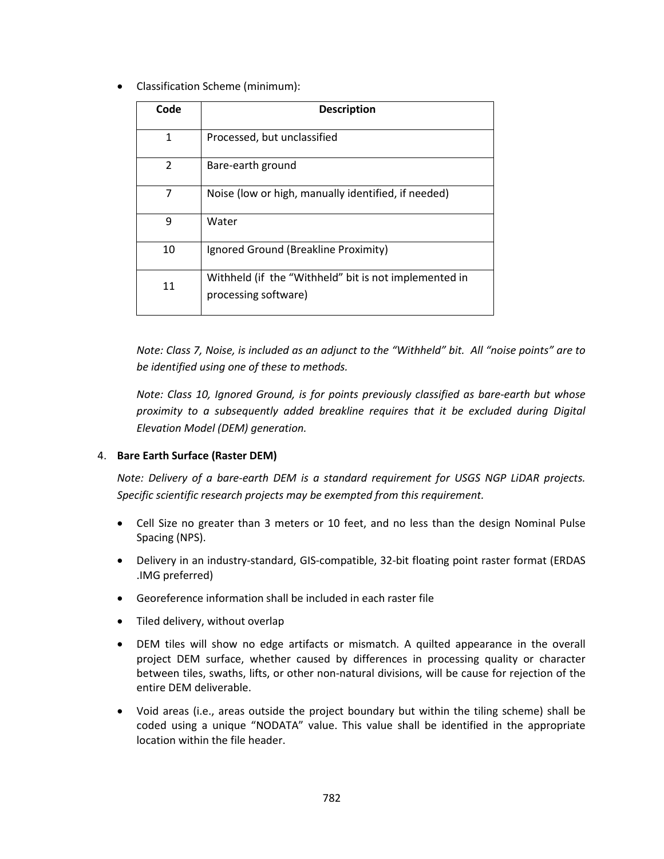• Classification Scheme (minimum):

| Code | <b>Description</b>                                                            |
|------|-------------------------------------------------------------------------------|
| 1    | Processed, but unclassified                                                   |
| 2    | Bare-earth ground                                                             |
| 7    | Noise (low or high, manually identified, if needed)                           |
| 9    | Water                                                                         |
| 10   | Ignored Ground (Breakline Proximity)                                          |
| 11   | Withheld (if the "Withheld" bit is not implemented in<br>processing software) |

*Note: Class 7, Noise, is included as an adjunct to the "Withheld" bit. All "noise points" are to be identified using one of these to methods.* 

*Note: Class 10, Ignored Ground, is for points previously classified as bare-earth but whose proximity to a subsequently added breakline requires that it be excluded during Digital Elevation Model (DEM) generation.* 

## 4. **Bare Earth Surface (Raster DEM)**

*Note: Delivery of a bare-earth DEM is a standard requirement for USGS NGP LiDAR projects. Specific scientific research projects may be exempted from this requirement.*

- Cell Size no greater than 3 meters or 10 feet, and no less than the design Nominal Pulse Spacing (NPS).
- Delivery in an industry-standard, GIS-compatible, 32-bit floating point raster format (ERDAS .IMG preferred)
- Georeference information shall be included in each raster file
- Tiled delivery, without overlap
- DEM tiles will show no edge artifacts or mismatch. A quilted appearance in the overall project DEM surface, whether caused by differences in processing quality or character between tiles, swaths, lifts, or other non-natural divisions, will be cause for rejection of the entire DEM deliverable.
- Void areas (i.e., areas outside the project boundary but within the tiling scheme) shall be coded using a unique "NODATA" value. This value shall be identified in the appropriate location within the file header.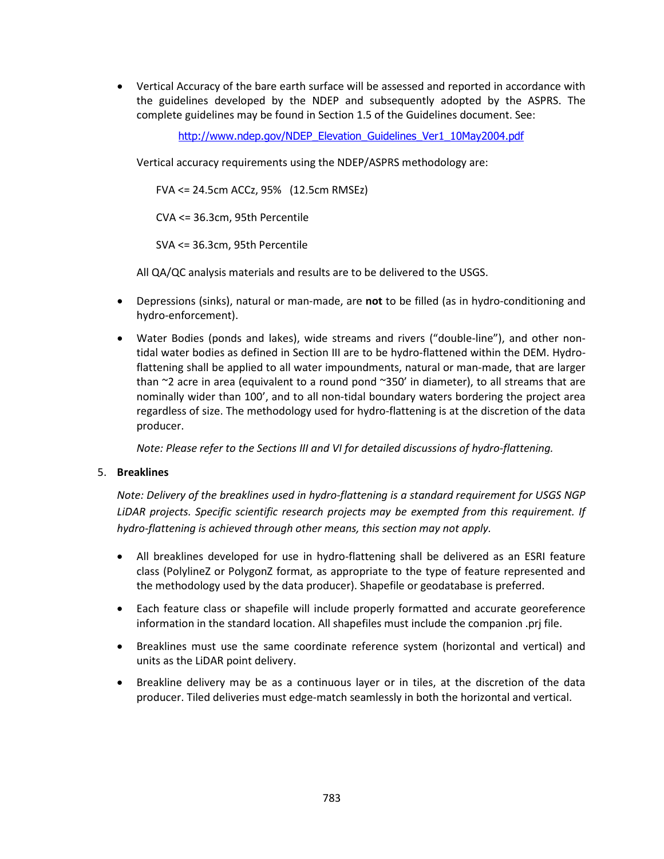• Vertical Accuracy of the bare earth surface will be assessed and reported in accordance with the guidelines developed by the NDEP and subsequently adopted by the ASPRS. The complete guidelines may be found in Section 1.5 of the Guidelines document. See:

[http://www.ndep.gov/NDEP\\_Elevation\\_Guidelines\\_Ver1\\_10May2004.pdf](http://www.ndep.gov/NDEP_Elevation_Guidelines_Ver1_10May2004.pdf)

Vertical accuracy requirements using the NDEP/ASPRS methodology are:

FVA <= 24.5cm ACCz, 95% (12.5cm RMSEz)

CVA <= 36.3cm, 95th Percentile

SVA <= 36.3cm, 95th Percentile

All QA/QC analysis materials and results are to be delivered to the USGS.

- Depressions (sinks), natural or man-made, are **not** to be filled (as in hydro-conditioning and hydro-enforcement).
- Water Bodies (ponds and lakes), wide streams and rivers ("double-line"), and other nontidal water bodies as defined in Section III are to be hydro-flattened within the DEM. Hydroflattening shall be applied to all water impoundments, natural or man-made, that are larger than ~2 acre in area (equivalent to a round pond ~350' in diameter), to all streams that are nominally wider than 100', and to all non-tidal boundary waters bordering the project area regardless of size. The methodology used for hydro-flattening is at the discretion of the data producer.

*Note: Please refer to the Sections III and VI for detailed discussions of hydro-flattening.*

#### 5. **Breaklines**

*Note: Delivery of the breaklines used in hydro-flattening is a standard requirement for USGS NGP LiDAR projects. Specific scientific research projects may be exempted from this requirement. If hydro-flattening is achieved through other means, this section may not apply.*

- All breaklines developed for use in hydro-flattening shall be delivered as an ESRI feature class (PolylineZ or PolygonZ format, as appropriate to the type of feature represented and the methodology used by the data producer). Shapefile or geodatabase is preferred.
- Each feature class or shapefile will include properly formatted and accurate georeference information in the standard location. All shapefiles must include the companion .prj file.
- Breaklines must use the same coordinate reference system (horizontal and vertical) and units as the LiDAR point delivery.
- Breakline delivery may be as a continuous layer or in tiles, at the discretion of the data producer. Tiled deliveries must edge-match seamlessly in both the horizontal and vertical.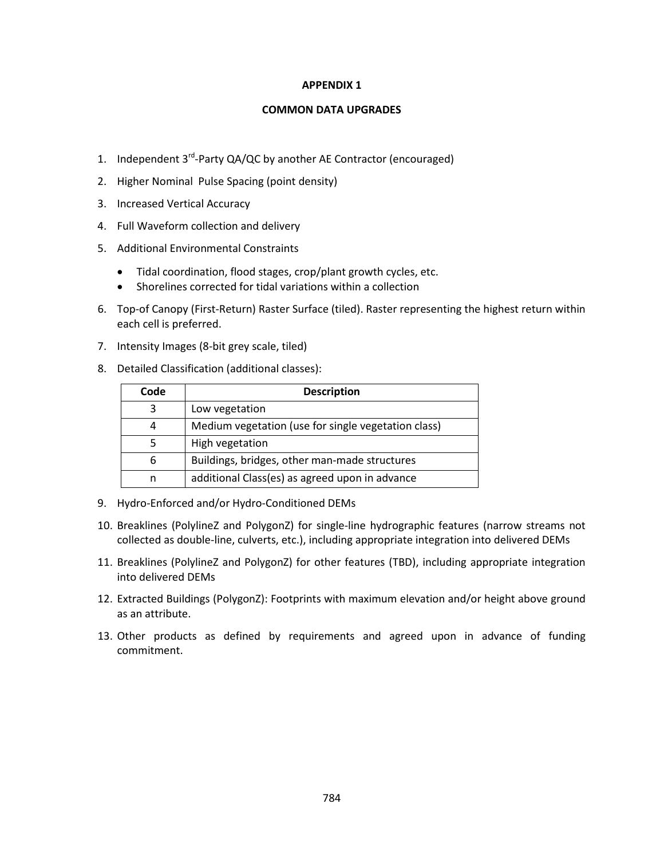#### **COMMON DATA UPGRADES**

- 1. Independent 3<sup>rd</sup>-Party QA/QC by another AE Contractor (encouraged)
- 2. Higher Nominal Pulse Spacing (point density)
- 3. Increased Vertical Accuracy
- 4. Full Waveform collection and delivery
- 5. Additional Environmental Constraints
	- Tidal coordination, flood stages, crop/plant growth cycles, etc.
	- Shorelines corrected for tidal variations within a collection
- 6. Top-of Canopy (First-Return) Raster Surface (tiled). Raster representing the highest return within each cell is preferred.
- 7. Intensity Images (8-bit grey scale, tiled)
- 8. Detailed Classification (additional classes):

| Code | <b>Description</b>                                  |
|------|-----------------------------------------------------|
| 3    | Low vegetation                                      |
| 4    | Medium vegetation (use for single vegetation class) |
| 5    | High vegetation                                     |
| 6    | Buildings, bridges, other man-made structures       |
| n    | additional Class(es) as agreed upon in advance      |

- 9. Hydro-Enforced and/or Hydro-Conditioned DEMs
- 10. Breaklines (PolylineZ and PolygonZ) for single-line hydrographic features (narrow streams not collected as double-line, culverts, etc.), including appropriate integration into delivered DEMs
- 11. Breaklines (PolylineZ and PolygonZ) for other features (TBD), including appropriate integration into delivered DEMs
- 12. Extracted Buildings (PolygonZ): Footprints with maximum elevation and/or height above ground as an attribute.
- 13. Other products as defined by requirements and agreed upon in advance of funding commitment.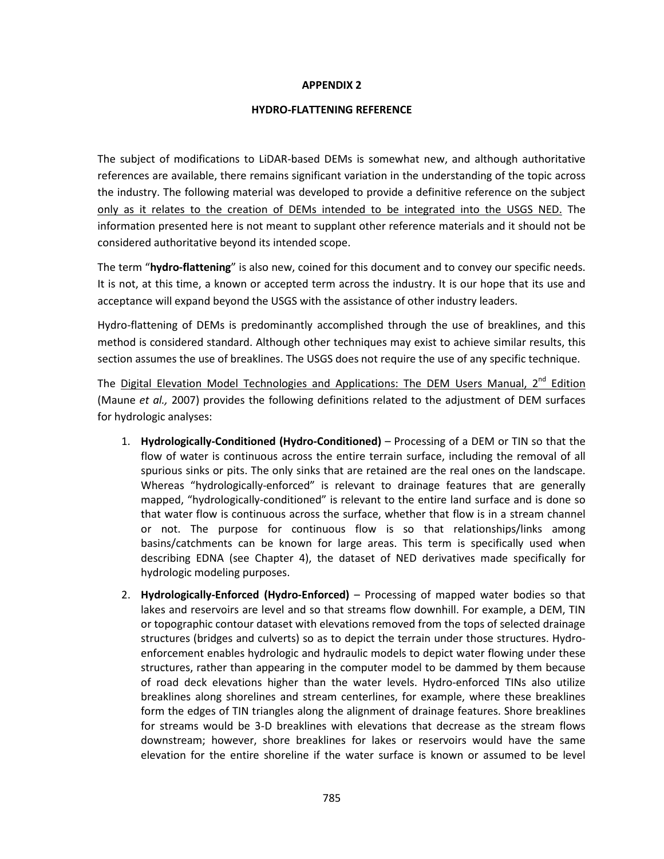#### **HYDRO-FLATTENING REFERENCE**

The subject of modifications to LiDAR-based DEMs is somewhat new, and although authoritative references are available, there remains significant variation in the understanding of the topic across the industry. The following material was developed to provide a definitive reference on the subject only as it relates to the creation of DEMs intended to be integrated into the USGS NED. The information presented here is not meant to supplant other reference materials and it should not be considered authoritative beyond its intended scope.

The term "**hydro-flattening**" is also new, coined for this document and to convey our specific needs. It is not, at this time, a known or accepted term across the industry. It is our hope that its use and acceptance will expand beyond the USGS with the assistance of other industry leaders.

Hydro-flattening of DEMs is predominantly accomplished through the use of breaklines, and this method is considered standard. Although other techniques may exist to achieve similar results, this section assumes the use of breaklines. The USGS does not require the use of any specific technique.

The Digital Elevation Model Technologies and Applications: The DEM Users Manual,  $2^{nd}$  Edition (Maune *et al.,* 2007) provides the following definitions related to the adjustment of DEM surfaces for hydrologic analyses:

- 1. **Hydrologically-Conditioned (Hydro-Conditioned)** Processing of a DEM or TIN so that the flow of water is continuous across the entire terrain surface, including the removal of all spurious sinks or pits. The only sinks that are retained are the real ones on the landscape. Whereas "hydrologically-enforced" is relevant to drainage features that are generally mapped, "hydrologically-conditioned" is relevant to the entire land surface and is done so that water flow is continuous across the surface, whether that flow is in a stream channel or not. The purpose for continuous flow is so that relationships/links among basins/catchments can be known for large areas. This term is specifically used when describing EDNA (see Chapter 4), the dataset of NED derivatives made specifically for hydrologic modeling purposes.
- 2. **Hydrologically-Enforced (Hydro-Enforced)** Processing of mapped water bodies so that lakes and reservoirs are level and so that streams flow downhill. For example, a DEM, TIN or topographic contour dataset with elevations removed from the tops of selected drainage structures (bridges and culverts) so as to depict the terrain under those structures. Hydroenforcement enables hydrologic and hydraulic models to depict water flowing under these structures, rather than appearing in the computer model to be dammed by them because of road deck elevations higher than the water levels. Hydro-enforced TINs also utilize breaklines along shorelines and stream centerlines, for example, where these breaklines form the edges of TIN triangles along the alignment of drainage features. Shore breaklines for streams would be 3-D breaklines with elevations that decrease as the stream flows downstream; however, shore breaklines for lakes or reservoirs would have the same elevation for the entire shoreline if the water surface is known or assumed to be level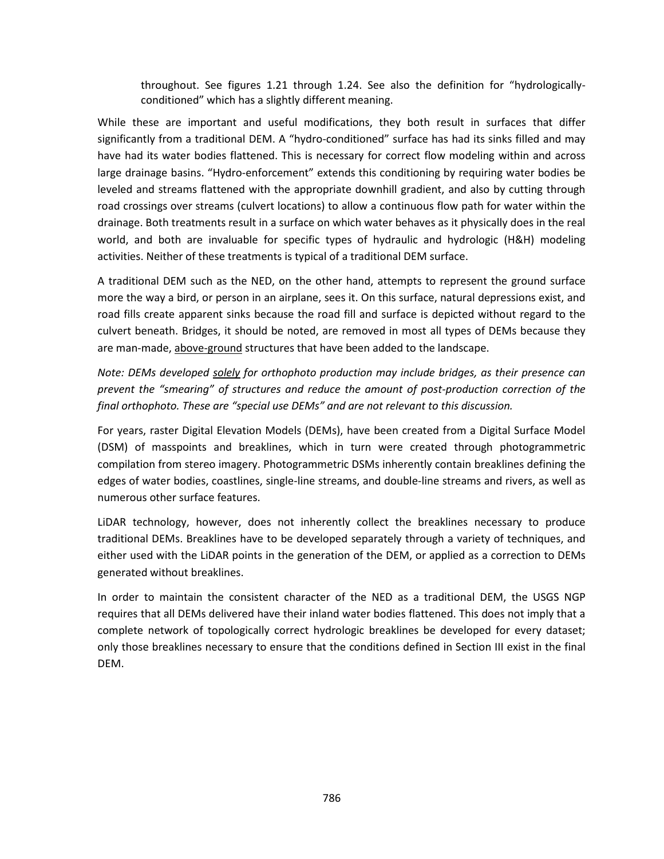throughout. See figures 1.21 through 1.24. See also the definition for "hydrologicallyconditioned" which has a slightly different meaning.

While these are important and useful modifications, they both result in surfaces that differ significantly from a traditional DEM. A "hydro-conditioned" surface has had its sinks filled and may have had its water bodies flattened. This is necessary for correct flow modeling within and across large drainage basins. "Hydro-enforcement" extends this conditioning by requiring water bodies be leveled and streams flattened with the appropriate downhill gradient, and also by cutting through road crossings over streams (culvert locations) to allow a continuous flow path for water within the drainage. Both treatments result in a surface on which water behaves as it physically does in the real world, and both are invaluable for specific types of hydraulic and hydrologic (H&H) modeling activities. Neither of these treatments is typical of a traditional DEM surface.

A traditional DEM such as the NED, on the other hand, attempts to represent the ground surface more the way a bird, or person in an airplane, sees it. On this surface, natural depressions exist, and road fills create apparent sinks because the road fill and surface is depicted without regard to the culvert beneath. Bridges, it should be noted, are removed in most all types of DEMs because they are man-made, above-ground structures that have been added to the landscape.

*Note: DEMs developed solely for orthophoto production may include bridges, as their presence can prevent the "smearing" of structures and reduce the amount of post-production correction of the final orthophoto. These are "special use DEMs" and are not relevant to this discussion.*

For years, raster Digital Elevation Models (DEMs), have been created from a Digital Surface Model (DSM) of masspoints and breaklines, which in turn were created through photogrammetric compilation from stereo imagery. Photogrammetric DSMs inherently contain breaklines defining the edges of water bodies, coastlines, single-line streams, and double-line streams and rivers, as well as numerous other surface features.

LiDAR technology, however, does not inherently collect the breaklines necessary to produce traditional DEMs. Breaklines have to be developed separately through a variety of techniques, and either used with the LiDAR points in the generation of the DEM, or applied as a correction to DEMs generated without breaklines.

In order to maintain the consistent character of the NED as a traditional DEM, the USGS NGP requires that all DEMs delivered have their inland water bodies flattened. This does not imply that a complete network of topologically correct hydrologic breaklines be developed for every dataset; only those breaklines necessary to ensure that the conditions defined in Section III exist in the final DEM.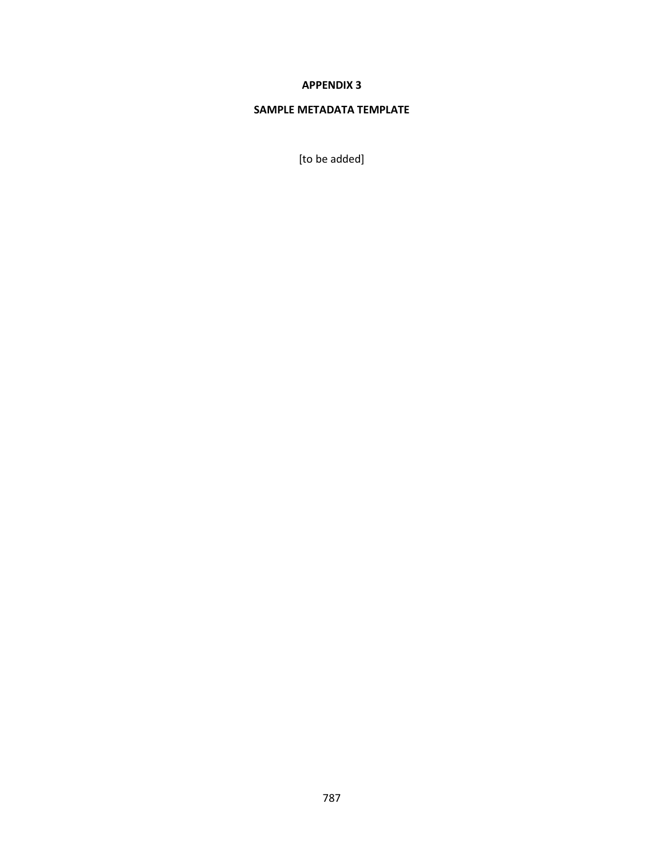## **SAMPLE METADATA TEMPLATE**

[to be added]